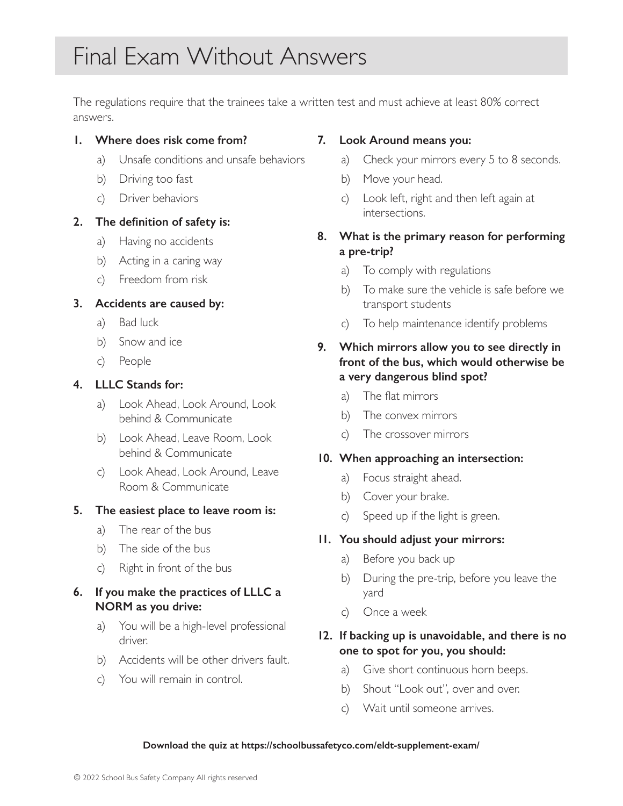The regulations require that the trainees take a written test and must achieve at least 80% correct answers.

### **1. Where does risk come from?**

- a) Unsafe conditions and unsafe behaviors
- b) Driving too fast
- c) Driver behaviors

### **2. The definition of safety is:**

- a) Having no accidents
- b) Acting in a caring way
- c) Freedom from risk

# **3. Accidents are caused by:**

- a) Bad luck
- b) Snow and ice
- c) People

# **4. LLLC Stands for:**

- a) Look Ahead, Look Around, Look behind & Communicate
- b) Look Ahead, Leave Room, Look behind & Communicate
- c) Look Ahead, Look Around, Leave Room & Communicate

# **5. The easiest place to leave room is:**

- a) The rear of the bus
- b) The side of the bus
- c) Right in front of the bus

# **6. If you make the practices of LLLC a NORM as you drive:**

- a) You will be a high-level professional driver.
- b) Accidents will be other drivers fault.
- c) You will remain in control.

# **7. Look Around means you:**

- a) Check your mirrors every 5 to 8 seconds.
- b) Move your head.
- c) Look left, right and then left again at intersections.

# **8. What is the primary reason for performing a pre-trip?**

- a) To comply with regulations
- b) To make sure the vehicle is safe before we transport students
- c) To help maintenance identify problems

# **9. Which mirrors allow you to see directly in front of the bus, which would otherwise be a very dangerous blind spot?**

- a) The flat mirrors
- b) The convex mirrors
- c) The crossover mirrors

### **10. When approaching an intersection:**

- a) Focus straight ahead.
- b) Cover your brake.
- c) Speed up if the light is green.

# **11. You should adjust your mirrors:**

- a) Before you back up
- b) During the pre-trip, before you leave the yard
- c) Once a week

# **12. If backing up is unavoidable, and there is no one to spot for you, you should:**

- a) Give short continuous horn beeps.
- b) Shout "Look out", over and over.
- c) Wait until someone arrives.

#### **Download the quiz at https://schoolbussafetyco.com/eldt-supplement-exam/**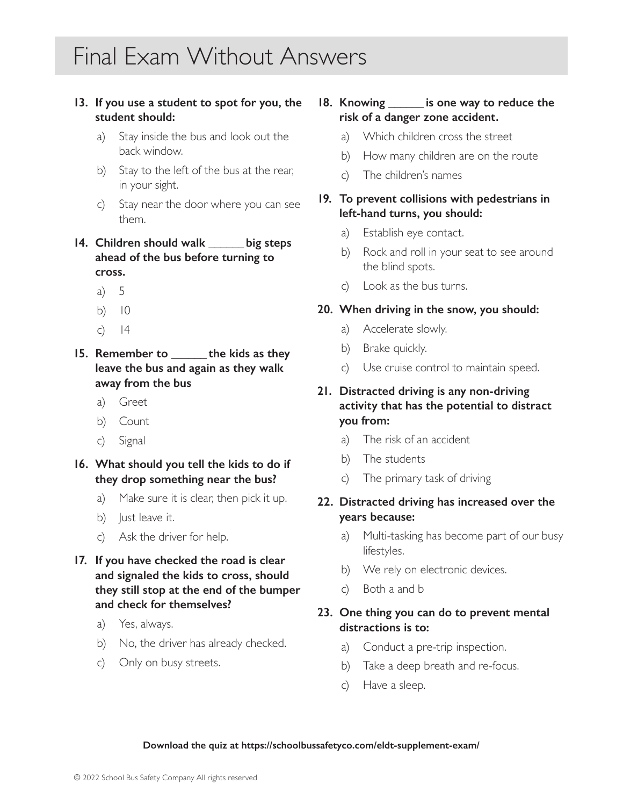### **13. If you use a student to spot for you, the student should:**

- a) Stay inside the bus and look out the back window.
- b) Stay to the left of the bus at the rear, in your sight.
- c) Stay near the door where you can see them.
- **14. Children should walk \_\_\_\_\_\_ big steps ahead of the bus before turning to cross.**
	- a) 5
	- b) 10
	- $c)$  14
- **15. Remember to \_\_\_\_\_\_ the kids as they leave the bus and again as they walk away from the bus**
	- a) Greet
	- b) Count
	- c) Signal
- **16. What should you tell the kids to do if they drop something near the bus?**
	- a) Make sure it is clear, then pick it up.
	- b) lust leave it.
	- c) Ask the driver for help.
- **17. If you have checked the road is clear and signaled the kids to cross, should they still stop at the end of the bumper and check for themselves?**
	- a) Yes, always.
	- b) No, the driver has already checked.
	- c) Only on busy streets.

# **18. Knowing \_\_\_\_\_\_ is one way to reduce the risk of a danger zone accident.**

- a) Which children cross the street
- b) How many children are on the route
- c) The children's names

### **19. To prevent collisions with pedestrians in left-hand turns, you should:**

- a) Establish eye contact.
- b) Rock and roll in your seat to see around the blind spots.
- c) Look as the bus turns.

#### **20. When driving in the snow, you should:**

- a) Accelerate slowly.
- b) Brake quickly.
- c) Use cruise control to maintain speed.

# **21. Distracted driving is any non-driving activity that has the potential to distract you from:**

- a) The risk of an accident
- b) The students
- c) The primary task of driving

### **22. Distracted driving has increased over the years because:**

- a) Multi-tasking has become part of our busy lifestyles.
- b) We rely on electronic devices.
- c) Both a and b

### **23. One thing you can do to prevent mental distractions is to:**

- a) Conduct a pre-trip inspection.
- b) Take a deep breath and re-focus.
- c) Have a sleep.

#### **Download the quiz at https://schoolbussafetyco.com/eldt-supplement-exam/**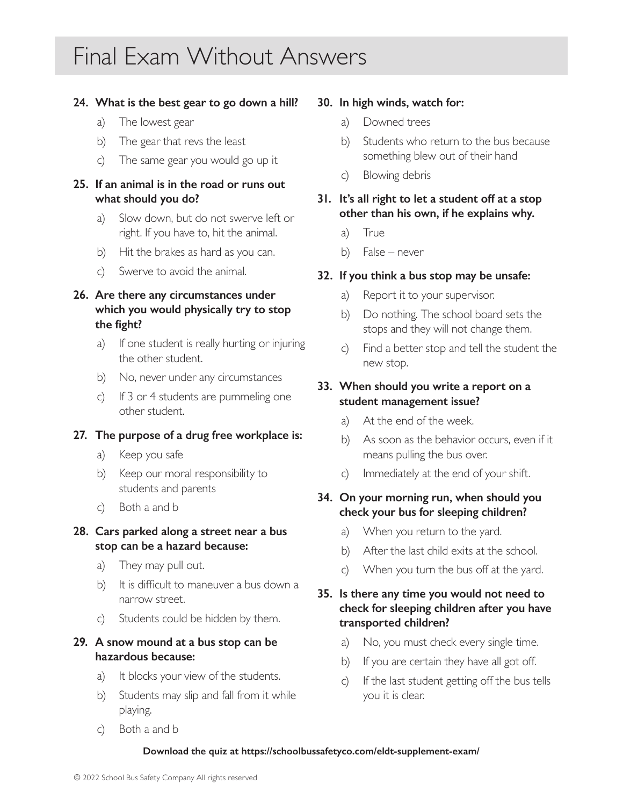### **24. What is the best gear to go down a hill?**

- a) The lowest gear
- b) The gear that revs the least
- c) The same gear you would go up it

# **25. If an animal is in the road or runs out what should you do?**

- a) Slow down, but do not swerve left or right. If you have to, hit the animal.
- b) Hit the brakes as hard as you can.
- c) Swerve to avoid the animal.

# **26. Are there any circumstances under which you would physically try to stop the fight?**

- a) If one student is really hurting or injuring the other student.
- b) No, never under any circumstances
- c) If 3 or 4 students are pummeling one other student.

### **27. The purpose of a drug free workplace is:**

- a) Keep you safe
- b) Keep our moral responsibility to students and parents
- c) Both a and b

### **28. Cars parked along a street near a bus stop can be a hazard because:**

- a) They may pull out.
- b) It is difficult to maneuver a bus down a narrow street.
- c) Students could be hidden by them.

### **29. A snow mound at a bus stop can be hazardous because:**

- a) It blocks your view of the students.
- b) Students may slip and fall from it while playing.
- c) Both a and b

### **30. In high winds, watch for:**

- a) Downed trees
- b) Students who return to the bus because something blew out of their hand
- c) Blowing debris
- **31. It's all right to let a student off at a stop other than his own, if he explains why.**
	- a) True
	- b) False never

### **32. If you think a bus stop may be unsafe:**

- a) Report it to your supervisor.
- b) Do nothing. The school board sets the stops and they will not change them.
- c) Find a better stop and tell the student the new stop.

## **33. When should you write a report on a student management issue?**

- a) At the end of the week.
- b) As soon as the behavior occurs, even if it means pulling the bus over.
- c) Immediately at the end of your shift.

### **34. On your morning run, when should you check your bus for sleeping children?**

- a) When you return to the yard.
- b) After the last child exits at the school.
- c) When you turn the bus off at the yard.

# **35. Is there any time you would not need to check for sleeping children after you have transported children?**

- a) No, you must check every single time.
- b) If you are certain they have all got off.
- c) If the last student getting off the bus tells you it is clear.

#### **Download the quiz at https://schoolbussafetyco.com/eldt-supplement-exam/**